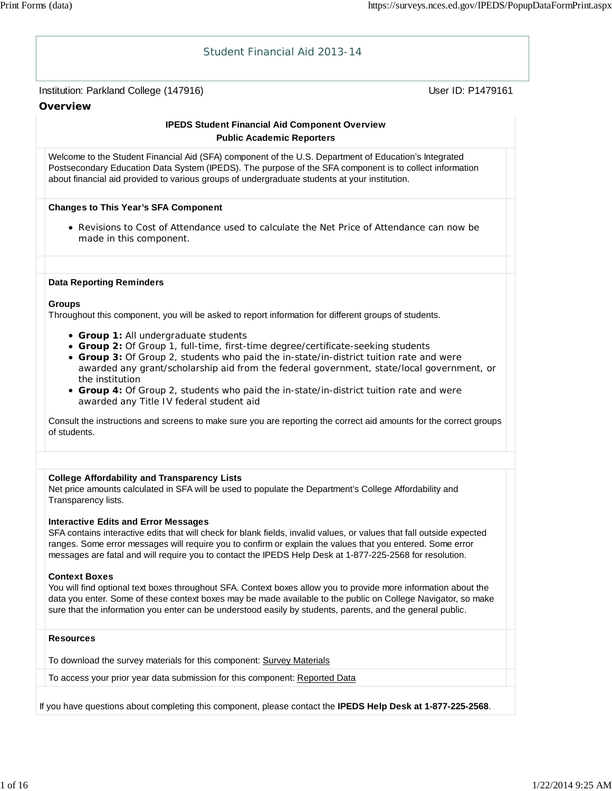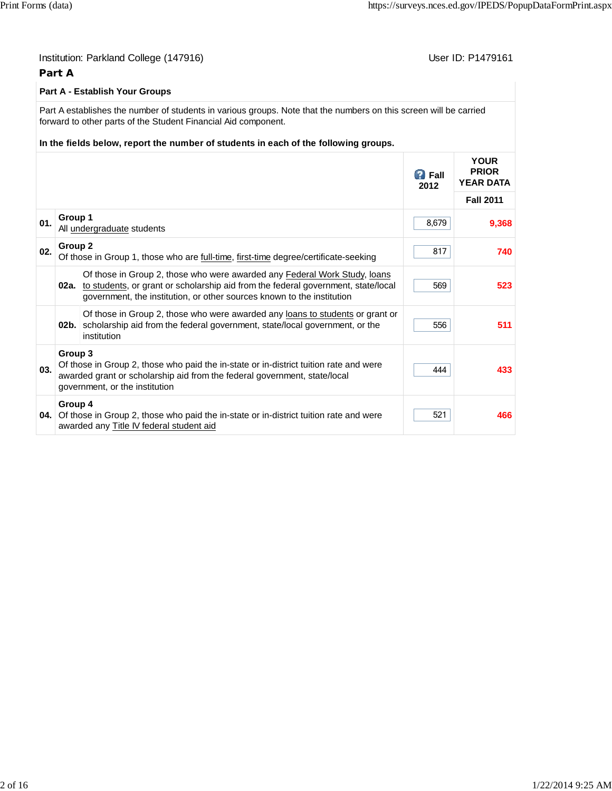|     | Part A  | Institution: Parkland College (147916)                                                                                                                                                                                                                                     |                       | User ID: P1479161                               |
|-----|---------|----------------------------------------------------------------------------------------------------------------------------------------------------------------------------------------------------------------------------------------------------------------------------|-----------------------|-------------------------------------------------|
|     |         | Part A - Establish Your Groups                                                                                                                                                                                                                                             |                       |                                                 |
|     |         | Part A establishes the number of students in various groups. Note that the numbers on this screen will be carried<br>forward to other parts of the Student Financial Aid component.<br>In the fields below, report the number of students in each of the following groups. |                       |                                                 |
|     |         |                                                                                                                                                                                                                                                                            | <b>B</b> Fall<br>2012 | <b>YOUR</b><br><b>PRIOR</b><br><b>YEAR DATA</b> |
|     |         |                                                                                                                                                                                                                                                                            |                       | <b>Fall 2011</b>                                |
| 01. | Group 1 | All undergraduate students                                                                                                                                                                                                                                                 | 8,679                 | 9,368                                           |
| 02. | Group 2 | Of those in Group 1, those who are full-time, first-time degree/certificate-seeking                                                                                                                                                                                        | 817                   | 740                                             |
|     |         | Of those in Group 2, those who were awarded any Federal Work Study, loans<br>02a. to students, or grant or scholarship aid from the federal government, state/local<br>government, the institution, or other sources known to the institution                              | 569                   | 523                                             |
|     | $02b$ . | Of those in Group 2, those who were awarded any loans to students or grant or<br>scholarship aid from the federal government, state/local government, or the<br>institution                                                                                                | 556                   | 511                                             |
| 03. | Group 3 | Of those in Group 2, those who paid the in-state or in-district tuition rate and were<br>awarded grant or scholarship aid from the federal government, state/local<br>government, or the institution                                                                       | 444                   | 433                                             |
| 04. | Group 4 | Of those in Group 2, those who paid the in-state or in-district tuition rate and were<br>awarded any Title IV federal student aid                                                                                                                                          | 521                   | 466                                             |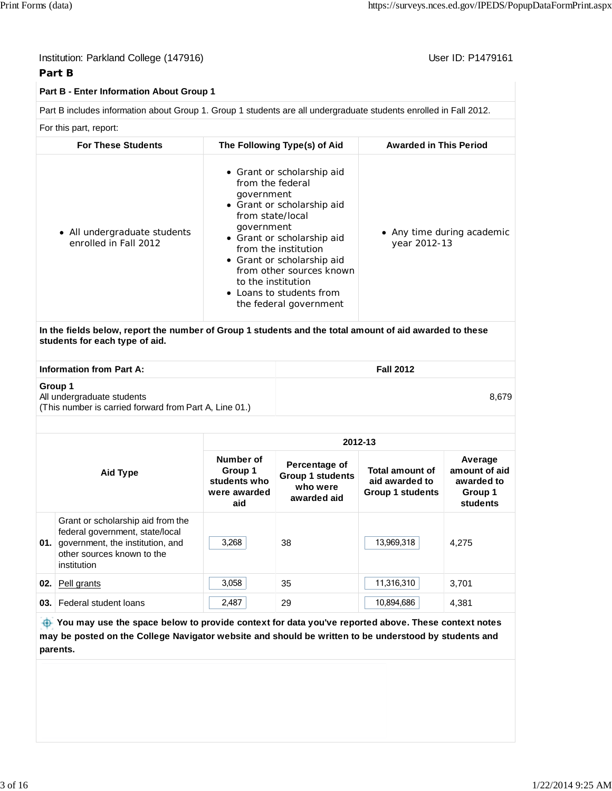| Institution: Parkland College (147916) |  |
|----------------------------------------|--|
| Part B                                 |  |

User ID: P1479161

| Part B - Enter Information About Group 1                                                                                                  |                                                                                                                                                                                                                                                                                                                          |                                            |
|-------------------------------------------------------------------------------------------------------------------------------------------|--------------------------------------------------------------------------------------------------------------------------------------------------------------------------------------------------------------------------------------------------------------------------------------------------------------------------|--------------------------------------------|
| Part B includes information about Group 1. Group 1 students are all undergraduate students enrolled in Fall 2012.                         |                                                                                                                                                                                                                                                                                                                          |                                            |
| For this part, report:                                                                                                                    |                                                                                                                                                                                                                                                                                                                          |                                            |
| <b>For These Students</b>                                                                                                                 | The Following Type(s) of Aid                                                                                                                                                                                                                                                                                             | <b>Awarded in This Period</b>              |
| • All undergraduate students<br>enrolled in Fall 2012                                                                                     | • Grant or scholarship aid<br>from the federal<br>government<br>• Grant or scholarship aid<br>from state/local<br>government<br>• Grant or scholarship aid<br>from the institution<br>• Grant or scholarship aid<br>from other sources known<br>to the institution<br>• Loans to students from<br>the federal government | • Any time during academic<br>year 2012-13 |
| In the fields below, report the number of Group 1 students and the total amount of aid awarded to these<br>students for each type of aid. |                                                                                                                                                                                                                                                                                                                          |                                            |
| <b>Information from Part A:</b>                                                                                                           |                                                                                                                                                                                                                                                                                                                          | <b>Fall 2012</b>                           |
| Group 1<br>All undergraduate students<br>(This number is carried forward from Part A, Line 01.)                                           |                                                                                                                                                                                                                                                                                                                          | 8.679                                      |
|                                                                                                                                           |                                                                                                                                                                                                                                                                                                                          |                                            |

|     |                                                                                                                                                       |                                                             |                                                                     | 2012-13                                                             |                                                               |
|-----|-------------------------------------------------------------------------------------------------------------------------------------------------------|-------------------------------------------------------------|---------------------------------------------------------------------|---------------------------------------------------------------------|---------------------------------------------------------------|
|     | <b>Aid Type</b>                                                                                                                                       | Number of<br>Group 1<br>students who<br>were awarded<br>aid | Percentage of<br><b>Group 1 students</b><br>who were<br>awarded aid | <b>Total amount of</b><br>aid awarded to<br><b>Group 1 students</b> | Average<br>amount of aid<br>awarded to<br>Group 1<br>students |
| 01. | Grant or scholarship aid from the<br>federal government, state/local<br>government, the institution, and<br>other sources known to the<br>institution | 3,268                                                       | 38                                                                  | 13,969,318                                                          | 4.275                                                         |
| 02. | Pell grants                                                                                                                                           | 3.058                                                       | 35                                                                  | 11,316,310                                                          | 3,701                                                         |
| 03. | Federal student loans                                                                                                                                 | 2,487                                                       | 29                                                                  | 10,894,686                                                          | 4,381                                                         |

 **You may use the space below to provide context for data you've reported above. These context notes may be posted on the College Navigator website and should be written to be understood by students and parents.**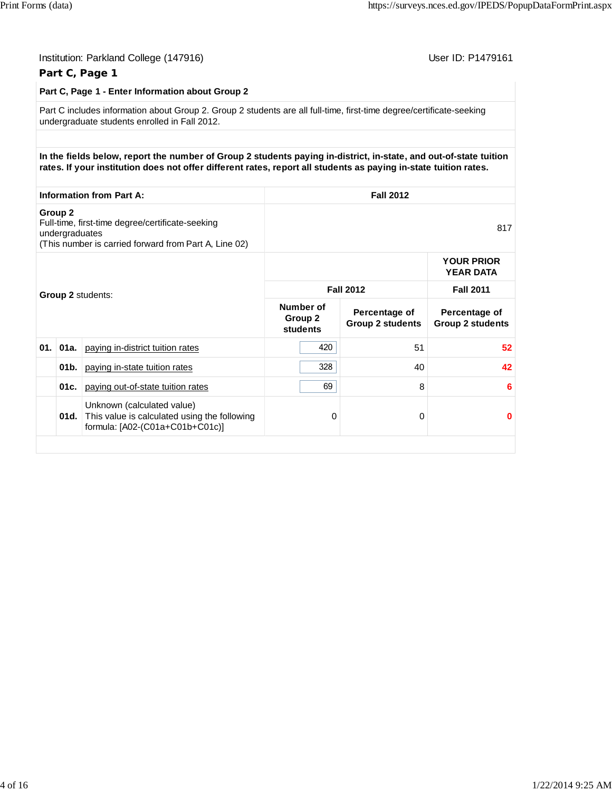|                                      | Institution: Parkland College (147916)                                                                                                                                                                                                |                                  |                                          | User ID: P1479161                        |
|--------------------------------------|---------------------------------------------------------------------------------------------------------------------------------------------------------------------------------------------------------------------------------------|----------------------------------|------------------------------------------|------------------------------------------|
|                                      | Part C, Page 1                                                                                                                                                                                                                        |                                  |                                          |                                          |
|                                      | Part C, Page 1 - Enter Information about Group 2                                                                                                                                                                                      |                                  |                                          |                                          |
|                                      | Part C includes information about Group 2. Group 2 students are all full-time, first-time degree/certificate-seeking<br>undergraduate students enrolled in Fall 2012.                                                                 |                                  |                                          |                                          |
|                                      |                                                                                                                                                                                                                                       |                                  |                                          |                                          |
|                                      | In the fields below, report the number of Group 2 students paying in-district, in-state, and out-of-state tuition<br>rates. If your institution does not offer different rates, report all students as paying in-state tuition rates. |                                  |                                          |                                          |
|                                      | <b>Information from Part A:</b>                                                                                                                                                                                                       |                                  | <b>Fall 2012</b>                         |                                          |
| Group <sub>2</sub><br>undergraduates | Full-time, first-time degree/certificate-seeking<br>(This number is carried forward from Part A, Line 02)                                                                                                                             |                                  |                                          | 817                                      |
|                                      |                                                                                                                                                                                                                                       |                                  |                                          | <b>YOUR PRIOR</b><br><b>YEAR DATA</b>    |
|                                      | Group 2 students:                                                                                                                                                                                                                     |                                  | <b>Fall 2012</b>                         | <b>Fall 2011</b>                         |
|                                      |                                                                                                                                                                                                                                       | Number of<br>Group 2<br>students | Percentage of<br><b>Group 2 students</b> | Percentage of<br><b>Group 2 students</b> |
| $01.$ 01a.                           | paying in-district tuition rates                                                                                                                                                                                                      | 420                              | 51                                       | 52 <sub>2</sub>                          |
| 01 <sub>b</sub> .                    | paying in-state tuition rates                                                                                                                                                                                                         | 328                              | 40                                       | 42                                       |
| 01c.                                 | paying out-of-state tuition rates                                                                                                                                                                                                     | 69                               | 8                                        | 6                                        |
| 01d.                                 | Unknown (calculated value)<br>This value is calculated using the following<br>formula: [A02-(C01a+C01b+C01c)]                                                                                                                         | 0                                | 0                                        | 0                                        |
|                                      |                                                                                                                                                                                                                                       |                                  |                                          |                                          |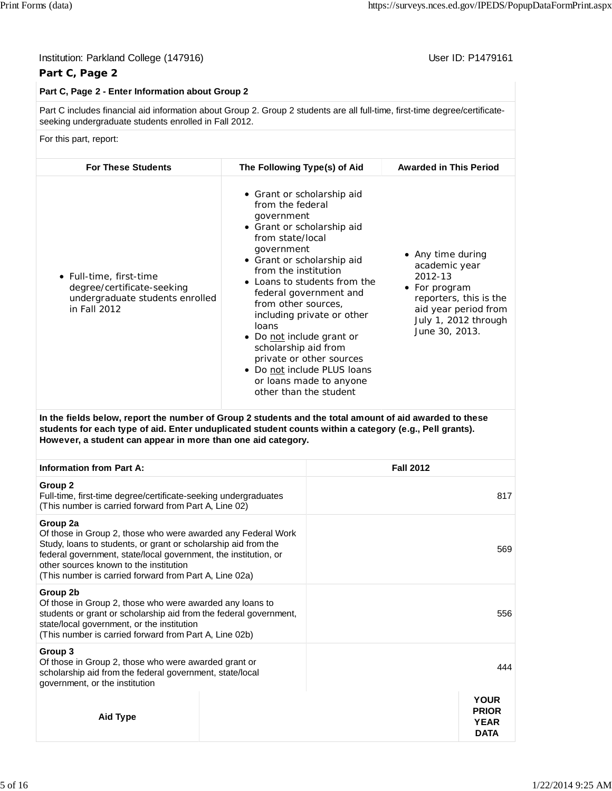## Institution: Parkland College (147916) **Institution: Parkland College (147916**)

# **Part C, Page 2**

## **Part C, Page 2 - Enter Information about Group 2**

Part C includes financial aid information about Group 2. Group 2 students are all full-time, first-time degree/certificateseeking undergraduate students enrolled in Fall 2012.

#### For this part, report:

| <b>For These Students</b>                                                                                | The Following Type(s) of Aid                                                                                                                                                                                                                                                                                                                                                                                                                                                               | <b>Awarded in This Period</b>                                                                                                                              |
|----------------------------------------------------------------------------------------------------------|--------------------------------------------------------------------------------------------------------------------------------------------------------------------------------------------------------------------------------------------------------------------------------------------------------------------------------------------------------------------------------------------------------------------------------------------------------------------------------------------|------------------------------------------------------------------------------------------------------------------------------------------------------------|
| • Full-time, first-time<br>degree/certificate-seeking<br>undergraduate students enrolled<br>in Fall 2012 | • Grant or scholarship aid<br>from the federal<br>government<br>• Grant or scholarship aid<br>from state/local<br>government<br>• Grant or scholarship aid<br>from the institution<br>• Loans to students from the<br>federal government and<br>from other sources,<br>including private or other<br>loans<br>Do not include grant or<br>$\bullet$<br>scholarship aid from<br>private or other sources<br>• Do not include PLUS loans<br>or loans made to anyone<br>other than the student | • Any time during<br>academic year<br>2012-13<br>• For program<br>reporters, this is the<br>aid year period from<br>July 1, 2012 through<br>June 30, 2013. |

**In the fields below, report the number of Group 2 students and the total amount of aid awarded to these students for each type of aid. Enter unduplicated student counts within a category (e.g., Pell grants). However, a student can appear in more than one aid category.**

| <b>Information from Part A:</b>                                                                                                                                                                                                                                                                                   | <b>Fall 2012</b> |                                                           |
|-------------------------------------------------------------------------------------------------------------------------------------------------------------------------------------------------------------------------------------------------------------------------------------------------------------------|------------------|-----------------------------------------------------------|
| Group 2<br>Full-time, first-time degree/certificate-seeking undergraduates<br>(This number is carried forward from Part A, Line 02)                                                                                                                                                                               |                  | 817                                                       |
| Group 2a<br>Of those in Group 2, those who were awarded any Federal Work<br>Study, loans to students, or grant or scholarship aid from the<br>federal government, state/local government, the institution, or<br>other sources known to the institution<br>(This number is carried forward from Part A, Line 02a) |                  | 569                                                       |
| Group 2b<br>Of those in Group 2, those who were awarded any loans to<br>students or grant or scholarship aid from the federal government,<br>state/local government, or the institution<br>(This number is carried forward from Part A, Line 02b)                                                                 |                  | 556                                                       |
| Group 3<br>Of those in Group 2, those who were awarded grant or<br>scholarship aid from the federal government, state/local<br>government, or the institution                                                                                                                                                     |                  | 444                                                       |
| <b>Aid Type</b>                                                                                                                                                                                                                                                                                                   |                  | <b>YOUR</b><br><b>PRIOR</b><br><b>YEAR</b><br><b>DATA</b> |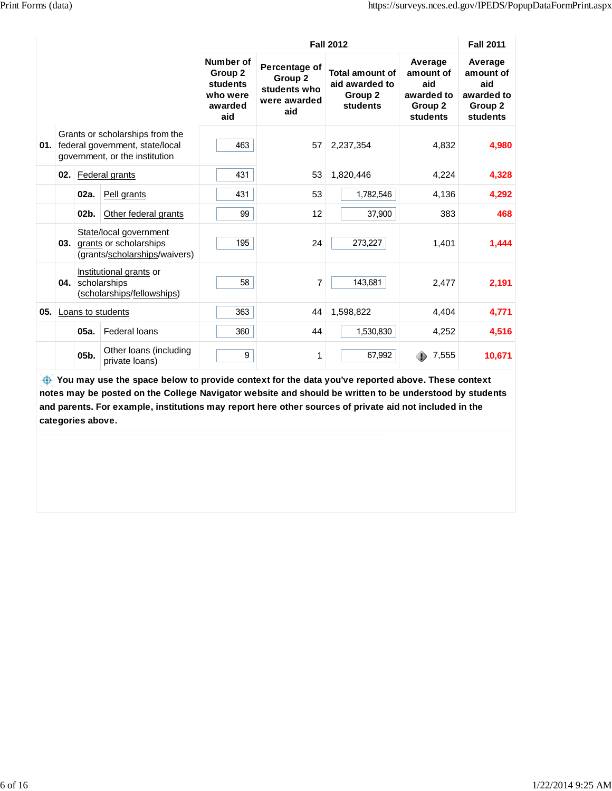|      |     |         |                                                                                                      |                                                                |                                                                 | <b>Fall 2012</b>                                                |                                                                             | <b>Fall 2011</b>                                                 |
|------|-----|---------|------------------------------------------------------------------------------------------------------|----------------------------------------------------------------|-----------------------------------------------------------------|-----------------------------------------------------------------|-----------------------------------------------------------------------------|------------------------------------------------------------------|
|      |     |         |                                                                                                      | Number of<br>Group 2<br>students<br>who were<br>awarded<br>aid | Percentage of<br>Group 2<br>students who<br>were awarded<br>aid | <b>Total amount of</b><br>aid awarded to<br>Group 2<br>students | Average<br>amount of<br>aid<br>awarded to<br>Group <sub>2</sub><br>students | Average<br>amount of<br>aid<br>awarded to<br>Group 2<br>students |
| 01.1 |     |         | Grants or scholarships from the<br>federal government, state/local<br>government, or the institution | 463                                                            | 57                                                              | 2,237,354                                                       | 4,832                                                                       | 4,980                                                            |
|      | 02. |         | Federal grants                                                                                       | 431                                                            | 53                                                              | 1,820,446                                                       | 4,224                                                                       | 4,328                                                            |
|      |     | 02a.    | Pell grants                                                                                          | 431                                                            | 53                                                              | 1,782,546                                                       | 4,136                                                                       | 4,292                                                            |
|      |     | $02b$ . | Other federal grants                                                                                 | 99                                                             | 12                                                              | 37,900                                                          | 383                                                                         | 468                                                              |
|      | 03. |         | State/local government<br>grants or scholarships<br>(grants/scholarships/waivers)                    | 195                                                            | 24                                                              | 273,227                                                         | 1,401                                                                       | 1,444                                                            |
|      | 04. |         | Institutional grants or<br>scholarships<br>(scholarships/fellowships)                                | 58                                                             | 7                                                               | 143,681                                                         | 2,477                                                                       | 2,191                                                            |
| 05.  |     |         | Loans to students                                                                                    | 363                                                            | 44                                                              | 1,598,822                                                       | 4.404                                                                       | 4,771                                                            |
|      |     | 05a.    | Federal loans                                                                                        | 360                                                            | 44                                                              | 1,530,830                                                       | 4,252                                                                       | 4,516                                                            |
|      |     | 05b.    | Other loans (including<br>private loans)                                                             | 9                                                              | 1                                                               | 67,992                                                          | 7,555                                                                       | 10,671                                                           |

 **You may use the space below to provide context for the data you've reported above. These context notes may be posted on the College Navigator website and should be written to be understood by students and parents. For example, institutions may report here other sources of private aid not included in the categories above.**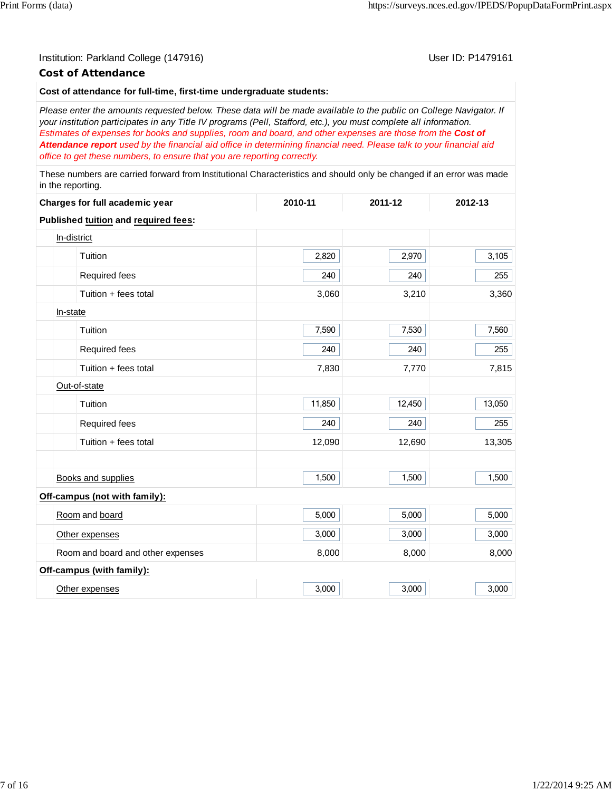## Institution: Parkland College (147916) November 2012 12: P1479161

## **Cost of Attendance**

#### **Cost of attendance for full-time, first-time undergraduate students:**

*Please enter the amounts requested below. These data will be made available to the public on College Navigator. If your institution participates in any Title IV programs (Pell, Stafford, etc.), you must complete all information. Estimates of expenses for books and supplies, room and board, and other expenses are those from the Cost of Attendance report used by the financial aid office in determining financial need. Please talk to your financial aid office to get these numbers, to ensure that you are reporting correctly.*

These numbers are carried forward from Institutional Characteristics and should only be changed if an error was made in the reporting.

| Charges for full academic year       | 2010-11 | 2011-12 | 2012-13 |
|--------------------------------------|---------|---------|---------|
| Published tuition and required fees: |         |         |         |
| In-district                          |         |         |         |
| Tuition                              | 2,820   | 2,970   | 3,105   |
| Required fees                        | 240     | 240     | 255     |
| Tuition + fees total                 | 3,060   | 3,210   | 3,360   |
| In-state                             |         |         |         |
| Tuition                              | 7,590   | 7,530   | 7,560   |
| Required fees                        | 240     | 240     | 255     |
| Tuition + fees total                 | 7,830   | 7,770   | 7,815   |
| Out-of-state                         |         |         |         |
| Tuition                              | 11,850  | 12,450  | 13,050  |
| Required fees                        | 240     | 240     | 255     |
| Tuition + fees total                 | 12,090  | 12,690  | 13,305  |
|                                      |         |         |         |
| <b>Books and supplies</b>            | 1,500   | 1,500   | 1,500   |
| Off-campus (not with family):        |         |         |         |
| Room and board                       | 5,000   | 5,000   | 5,000   |
| Other expenses                       | 3,000   | 3,000   | 3,000   |
| Room and board and other expenses    | 8,000   | 8,000   | 8,000   |
| Off-campus (with family):            |         |         |         |
| Other expenses                       | 3,000   | 3,000   | 3,000   |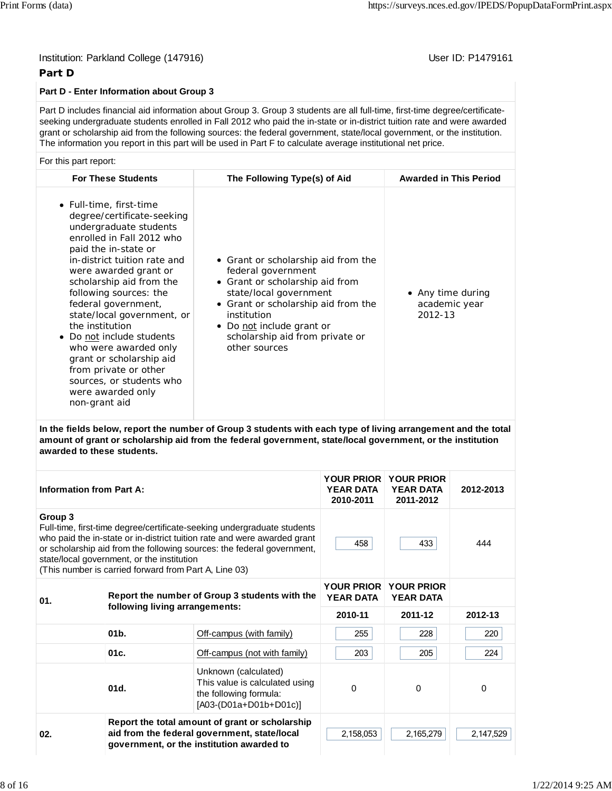## **Part D**

## **Part D - Enter Information about Group 3**

Part D includes financial aid information about Group 3. Group 3 students are all full-time, first-time degree/certificateseeking undergraduate students enrolled in Fall 2012 who paid the in-state or in-district tuition rate and were awarded grant or scholarship aid from the following sources: the federal government, state/local government, or the institution. The information you report in this part will be used in Part F to calculate average institutional net price.

## For this part report:

| <b>For These Students</b>                                                                                                                                                                                                                                                                                                                                                                                                                                                                                | The Following Type(s) of Aid                                                                                                                                                                                                                                  | <b>Awarded in This Period</b>                 |
|----------------------------------------------------------------------------------------------------------------------------------------------------------------------------------------------------------------------------------------------------------------------------------------------------------------------------------------------------------------------------------------------------------------------------------------------------------------------------------------------------------|---------------------------------------------------------------------------------------------------------------------------------------------------------------------------------------------------------------------------------------------------------------|-----------------------------------------------|
| • Full-time, first-time<br>degree/certificate-seeking<br>undergraduate students<br>enrolled in Fall 2012 who<br>paid the in-state or<br>in-district tuition rate and<br>were awarded grant or<br>scholarship aid from the<br>following sources: the<br>federal government,<br>state/local government, or<br>the institution<br>• Do not include students<br>who were awarded only<br>grant or scholarship aid<br>from private or other<br>sources, or students who<br>were awarded only<br>non-grant aid | • Grant or scholarship aid from the<br>federal government<br>• Grant or scholarship aid from<br>state/local government<br>• Grant or scholarship aid from the<br>institution<br>• Do not include grant or<br>scholarship aid from private or<br>other sources | • Any time during<br>academic year<br>2012-13 |

**In the fields below, report the number of Group 3 students with each type of living arrangement and the total amount of grant or scholarship aid from the federal government, state/local government, or the institution awarded to these students.**

| <b>Information from Part A:</b> |                                                                                                     |                                                                                                                                                                                                                               | <b>YEAR DATA</b><br>2010-2011         | YOUR PRIOR YOUR PRIOR<br><b>YEAR DATA</b><br>2011-2012 | 2012-2013 |
|---------------------------------|-----------------------------------------------------------------------------------------------------|-------------------------------------------------------------------------------------------------------------------------------------------------------------------------------------------------------------------------------|---------------------------------------|--------------------------------------------------------|-----------|
| Group 3                         | state/local government, or the institution<br>(This number is carried forward from Part A, Line 03) | Full-time, first-time degree/certificate-seeking undergraduate students<br>who paid the in-state or in-district tuition rate and were awarded grant<br>or scholarship aid from the following sources: the federal government, | 458                                   | 433                                                    | 444       |
| 01.                             |                                                                                                     | Report the number of Group 3 students with the                                                                                                                                                                                | <b>YOUR PRIOR</b><br><b>YEAR DATA</b> | <b>YOUR PRIOR</b><br><b>YEAR DATA</b>                  |           |
|                                 | following living arrangements:                                                                      |                                                                                                                                                                                                                               | 2010-11                               | 2011-12                                                | 2012-13   |
|                                 | 01 <sub>b</sub>                                                                                     | Off-campus (with family)                                                                                                                                                                                                      | 255                                   | 228                                                    | 220       |
|                                 | 01c.                                                                                                | Off-campus (not with family)                                                                                                                                                                                                  | 203                                   | 205                                                    | 224       |
|                                 | 01d.                                                                                                | Unknown (calculated)<br>This value is calculated using<br>the following formula:<br>$[AO3-(DO1a+DO1b+DO1c)]$                                                                                                                  | $\Omega$                              | 0                                                      | 0         |
| 02.                             |                                                                                                     | Report the total amount of grant or scholarship<br>aid from the federal government, state/local<br>government, or the institution awarded to                                                                                  | 2,158,053                             | 2,165,279                                              | 2,147,529 |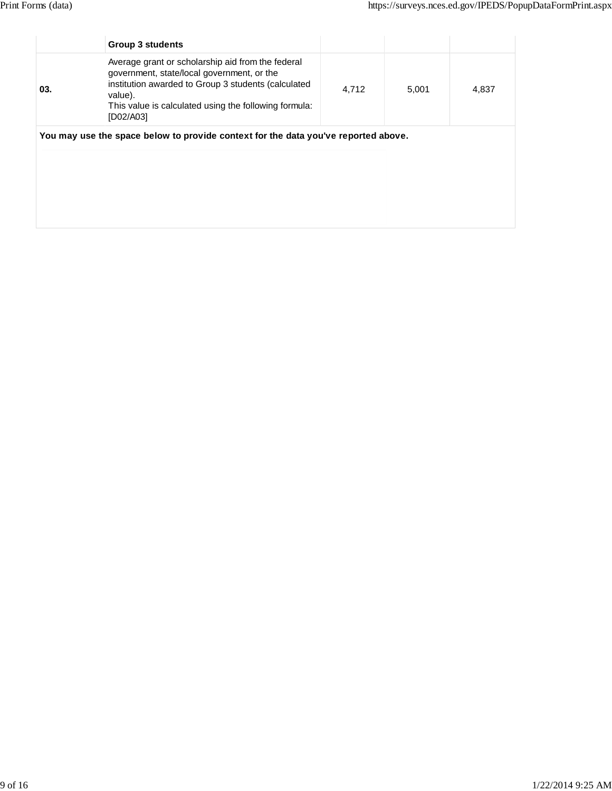| 03. | Average grant or scholarship aid from the federal<br>government, state/local government, or the<br>institution awarded to Group 3 students (calculated |       |       |       |
|-----|--------------------------------------------------------------------------------------------------------------------------------------------------------|-------|-------|-------|
|     | value).<br>This value is calculated using the following formula:<br>[D02/A03]                                                                          | 4,712 | 5,001 | 4,837 |
|     | You may use the space below to provide context for the data you've reported above.                                                                     |       |       |       |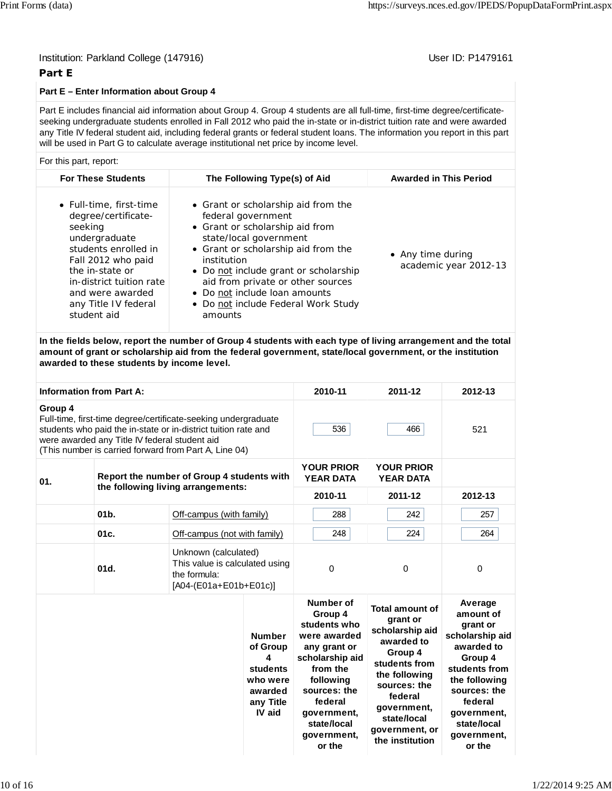# **Part E**

# **Part E – Enter Information about Group 4**

Part E includes financial aid information about Group 4. Group 4 students are all full-time, first-time degree/certificateseeking undergraduate students enrolled in Fall 2012 who paid the in-state or in-district tuition rate and were awarded any Title IV federal student aid, including federal grants or federal student loans. The information you report in this part will be used in Part G to calculate average institutional net price by income level.

# For this part, report:

| <b>For These Students</b>                                                                                                                                                                                                          | The Following Type(s) of Aid                                                                                                                                                                                                                                                                                                                  | <b>Awarded in This Period</b>              |
|------------------------------------------------------------------------------------------------------------------------------------------------------------------------------------------------------------------------------------|-----------------------------------------------------------------------------------------------------------------------------------------------------------------------------------------------------------------------------------------------------------------------------------------------------------------------------------------------|--------------------------------------------|
| • Full-time, first-time<br>degree/certificate-<br>seeking<br>undergraduate<br>students enrolled in<br>Fall 2012 who paid<br>the in-state or<br>in-district tuition rate<br>and were awarded<br>any Title IV federal<br>student aid | • Grant or scholarship aid from the<br>federal government<br>• Grant or scholarship aid from<br>state/local government<br>• Grant or scholarship aid from the<br>institution<br>• Do not include grant or scholarship<br>aid from private or other sources<br>• Do not include loan amounts<br>• Do not include Federal Work Study<br>amounts | • Any time during<br>academic year 2012-13 |

**In the fields below, report the number of Group 4 students with each type of living arrangement and the total amount of grant or scholarship aid from the federal government, state/local government, or the institution awarded to these students by income level.**

| <b>Information from Part A:</b>                   |         |                                                                                                                                                                                                                                            |                                                                                          | 2010-11                                                                                                                                                                                            | 2011-12                                                                                                                                                                                                        | 2012-13                                                                                                                                                                                          |
|---------------------------------------------------|---------|--------------------------------------------------------------------------------------------------------------------------------------------------------------------------------------------------------------------------------------------|------------------------------------------------------------------------------------------|----------------------------------------------------------------------------------------------------------------------------------------------------------------------------------------------------|----------------------------------------------------------------------------------------------------------------------------------------------------------------------------------------------------------------|--------------------------------------------------------------------------------------------------------------------------------------------------------------------------------------------------|
| Group 4                                           |         | Full-time, first-time degree/certificate-seeking undergraduate<br>students who paid the in-state or in-district tuition rate and<br>were awarded any Title IV federal student aid<br>(This number is carried forward from Part A, Line 04) |                                                                                          | 536                                                                                                                                                                                                | 466                                                                                                                                                                                                            | 521                                                                                                                                                                                              |
| Report the number of Group 4 students with<br>01. |         |                                                                                                                                                                                                                                            |                                                                                          |                                                                                                                                                                                                    | <b>YOUR PRIOR</b><br><b>YEAR DATA</b>                                                                                                                                                                          |                                                                                                                                                                                                  |
|                                                   |         | the following living arrangements:                                                                                                                                                                                                         |                                                                                          | 2010-11                                                                                                                                                                                            | 2011-12                                                                                                                                                                                                        | 2012-13                                                                                                                                                                                          |
|                                                   | $01b$ . | Off-campus (with family)                                                                                                                                                                                                                   |                                                                                          | 288                                                                                                                                                                                                | 242                                                                                                                                                                                                            | 257                                                                                                                                                                                              |
|                                                   | 01c.    | Off-campus (not with family)                                                                                                                                                                                                               |                                                                                          | 248                                                                                                                                                                                                | 224                                                                                                                                                                                                            | 264                                                                                                                                                                                              |
|                                                   | 01d.    | Unknown (calculated)<br>This value is calculated using<br>the formula:<br>$[AO4-(E01a+E01b+E01c)]$                                                                                                                                         |                                                                                          | $\mathbf 0$                                                                                                                                                                                        | 0                                                                                                                                                                                                              | $\mathbf 0$                                                                                                                                                                                      |
|                                                   |         |                                                                                                                                                                                                                                            | <b>Number</b><br>of Group<br>4<br>students<br>who were<br>awarded<br>any Title<br>IV aid | Number of<br>Group 4<br>students who<br>were awarded<br>any grant or<br>scholarship aid<br>from the<br>following<br>sources: the<br>federal<br>government,<br>state/local<br>government,<br>or the | <b>Total amount of</b><br>grant or<br>scholarship aid<br>awarded to<br>Group 4<br>students from<br>the following<br>sources: the<br>federal<br>government,<br>state/local<br>government, or<br>the institution | Average<br>amount of<br>grant or<br>scholarship aid<br>awarded to<br>Group 4<br>students from<br>the following<br>sources: the<br>federal<br>government,<br>state/local<br>government,<br>or the |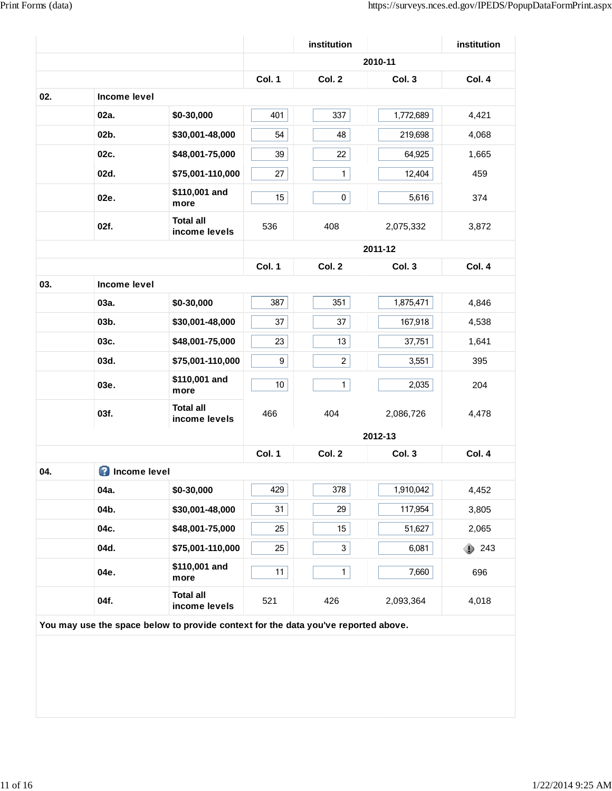|     |                       |                                                                                    |                 | institution    |           | institution |
|-----|-----------------------|------------------------------------------------------------------------------------|-----------------|----------------|-----------|-------------|
|     |                       |                                                                                    |                 |                | 2010-11   |             |
|     |                       |                                                                                    | Col. 1          | Col. 2         | Col. 3    | Col. 4      |
| 02. | Income level          |                                                                                    |                 |                |           |             |
|     | 02a.                  | \$0-30,000                                                                         | 401             | 337            | 1,772,689 | 4,421       |
|     | 02b.                  | \$30,001-48,000                                                                    | 54              | 48             | 219,698   | 4,068       |
|     | 02c.                  | \$48,001-75,000                                                                    | 39              | 22             | 64,925    | 1,665       |
|     | 02d.                  | \$75,001-110,000                                                                   | 27              | $\mathbf{1}$   | 12,404    | 459         |
|     | 02e.                  | \$110,001 and<br>more                                                              | 15              | 0              | 5,616     | 374         |
|     | 02f.                  | <b>Total all</b><br>income levels                                                  | 536             | 408            | 2,075,332 | 3,872       |
|     |                       |                                                                                    |                 |                | 2011-12   |             |
|     |                       |                                                                                    | Col. 1          | Col. 2         | Col. 3    | Col. 4      |
| 03. | Income level          |                                                                                    |                 |                |           |             |
|     | 03a.                  | \$0-30,000                                                                         | 387             | 351            | 1,875,471 | 4,846       |
|     | 03b.                  | \$30,001-48,000                                                                    | 37              | 37             | 167,918   | 4,538       |
|     | 03c.                  | \$48,001-75,000                                                                    | 23              | 13             | 37,751    | 1,641       |
|     | 03d.                  | \$75,001-110,000                                                                   | 9               | $\overline{c}$ | 3,551     | 395         |
|     | 03e.                  | \$110,001 and<br>more                                                              | 10 <sup>1</sup> | $\mathbf{1}$   | 2,035     | 204         |
|     | 03f.                  | <b>Total all</b><br>income levels                                                  | 466             | 404            | 2,086,726 | 4,478       |
|     |                       |                                                                                    |                 |                | 2012-13   |             |
|     |                       |                                                                                    | Col. 1          | Col. 2         | Col. 3    | Col. 4      |
| 04. | <b>O</b> Income level |                                                                                    |                 |                |           |             |
|     | 04a.                  | \$0-30,000                                                                         | 429             | 378            | 1,910,042 | 4,452       |
|     | 04b.                  | \$30,001-48,000                                                                    | 31              | 29             | 117,954   | 3,805       |
|     | 04c.                  | \$48,001-75,000                                                                    | 25              | 15             | 51,627    | 2,065       |
|     | 04d.                  | \$75,001-110,000                                                                   | 25              | 3              | 6,081     | 243<br>⊕    |
|     | 04e.                  | \$110,001 and<br>more                                                              | 11              | $\mathbf{1}$   | 7,660     | 696         |
|     | 04f.                  | <b>Total all</b><br>income levels                                                  | 521             | 426            | 2,093,364 | 4,018       |
|     |                       | You may use the space below to provide context for the data you've reported above. |                 |                |           |             |
|     |                       |                                                                                    |                 |                |           |             |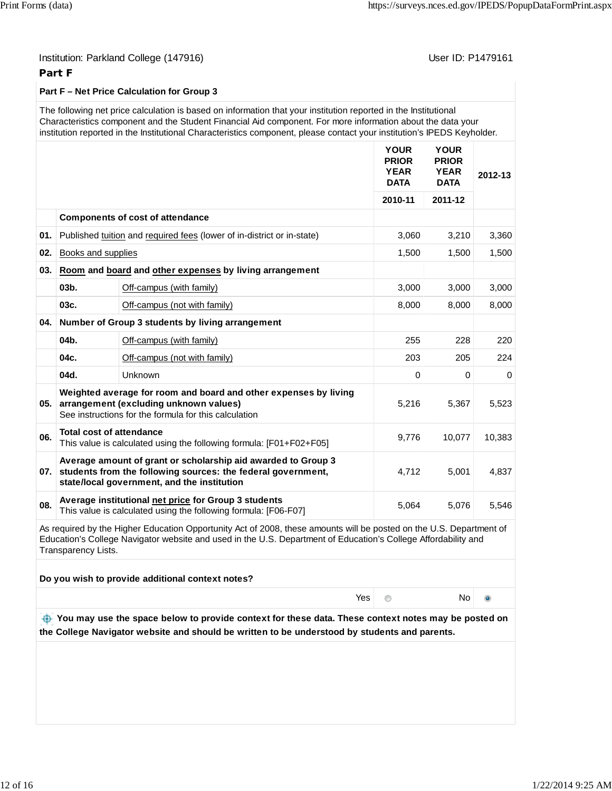## **Part F**

## **Part F – Net Price Calculation for Group 3**

The following net price calculation is based on information that your institution reported in the Institutional Characteristics component and the Student Financial Aid component. For more information about the data your institution reported in the Institutional Characteristics component, please contact your institution's IPEDS Keyholder.

|     |                                 |                                                                                                                                                                                  | <b>YOUR</b><br><b>PRIOR</b><br><b>YEAR</b><br><b>DATA</b> | <b>YOUR</b><br><b>PRIOR</b><br><b>YEAR</b><br><b>DATA</b> | 2012-13  |
|-----|---------------------------------|----------------------------------------------------------------------------------------------------------------------------------------------------------------------------------|-----------------------------------------------------------|-----------------------------------------------------------|----------|
|     |                                 |                                                                                                                                                                                  | 2010-11                                                   | 2011-12                                                   |          |
|     |                                 | <b>Components of cost of attendance</b>                                                                                                                                          |                                                           |                                                           |          |
| 01. |                                 | Published tuition and required fees (lower of in-district or in-state)                                                                                                           | 3,060                                                     | 3,210                                                     | 3,360    |
| 02. | Books and supplies              |                                                                                                                                                                                  | 1,500                                                     | 1,500                                                     | 1,500    |
| 03. |                                 | Room and board and other expenses by living arrangement                                                                                                                          |                                                           |                                                           |          |
|     | 03b.                            | Off-campus (with family)                                                                                                                                                         | 3,000                                                     | 3,000                                                     | 3,000    |
|     | 03c.                            | Off-campus (not with family)                                                                                                                                                     | 8,000                                                     | 8,000                                                     | 8,000    |
|     |                                 | 04. Number of Group 3 students by living arrangement                                                                                                                             |                                                           |                                                           |          |
|     | 04b.                            | Off-campus (with family)                                                                                                                                                         | 255                                                       | 228                                                       | 220      |
|     | 04c.                            | Off-campus (not with family)                                                                                                                                                     | 203                                                       | 205                                                       | 224      |
|     | 04d.                            | Unknown                                                                                                                                                                          | $\Omega$                                                  | $\Omega$                                                  | $\Omega$ |
| 05. |                                 | Weighted average for room and board and other expenses by living<br>arrangement (excluding unknown values)<br>See instructions for the formula for this calculation              | 5,216                                                     | 5,367                                                     | 5,523    |
| 06. | <b>Total cost of attendance</b> | This value is calculated using the following formula: [F01+F02+F05]                                                                                                              | 9,776                                                     | 10,077                                                    | 10,383   |
|     |                                 | Average amount of grant or scholarship aid awarded to Group 3<br>07. students from the following sources: the federal government,<br>state/local government, and the institution | 4,712                                                     | 5,001                                                     | 4,837    |
| 08. |                                 | Average institutional net price for Group 3 students<br>This value is calculated using the following formula: [F06-F07]                                                          | 5,064                                                     | 5,076                                                     | 5,546    |

As required by the Higher Education Opportunity Act of 2008, these amounts will be posted on the U.S. Department of Education's College Navigator website and used in the U.S. Department of Education's College Affordability and Transparency Lists.

**Do you wish to provide additional context notes?**

Yes of the North North North North North North North North North North North North North North North North Nor

 $\ddot{\bullet}$ 

 **You may use the space below to provide context for these data. These context notes may be posted on the College Navigator website and should be written to be understood by students and parents.**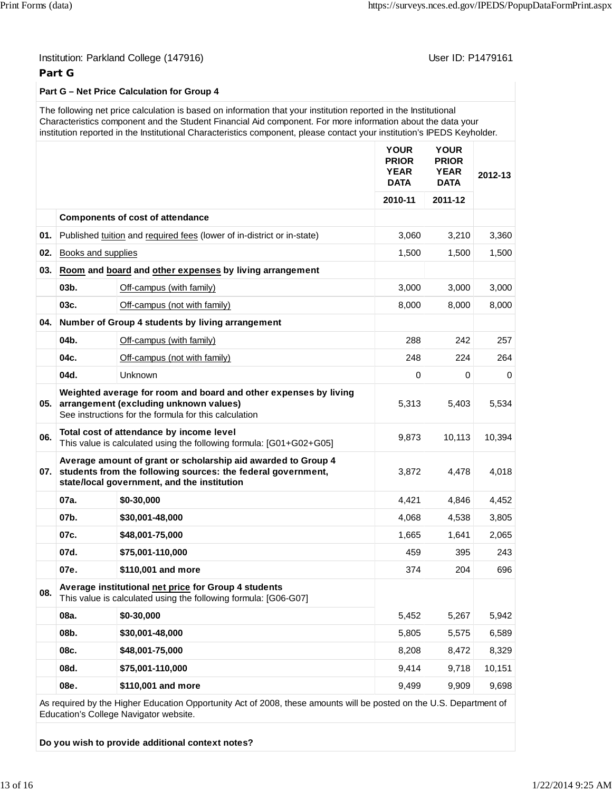## **Part G**

## **Part G – Net Price Calculation for Group 4**

The following net price calculation is based on information that your institution reported in the Institutional Characteristics component and the Student Financial Aid component. For more information about the data your institution reported in the Institutional Characteristics component, please contact your institution's IPEDS Keyholder.

|     |                                                                                                                                                                              |                                                                                                                                                                     | <b>YOUR</b><br><b>PRIOR</b><br><b>YEAR</b><br><b>DATA</b> | <b>YOUR</b><br><b>PRIOR</b><br><b>YEAR</b><br><b>DATA</b> | 2012-13 |
|-----|------------------------------------------------------------------------------------------------------------------------------------------------------------------------------|---------------------------------------------------------------------------------------------------------------------------------------------------------------------|-----------------------------------------------------------|-----------------------------------------------------------|---------|
|     |                                                                                                                                                                              |                                                                                                                                                                     | 2010-11                                                   | 2011-12                                                   |         |
|     |                                                                                                                                                                              | <b>Components of cost of attendance</b>                                                                                                                             |                                                           |                                                           |         |
| 01. |                                                                                                                                                                              | Published tuition and required fees (lower of in-district or in-state)                                                                                              | 3,060                                                     | 3,210                                                     | 3,360   |
| 02. | Books and supplies                                                                                                                                                           |                                                                                                                                                                     | 1,500                                                     | 1,500                                                     | 1,500   |
| 03. |                                                                                                                                                                              | Room and board and other expenses by living arrangement                                                                                                             |                                                           |                                                           |         |
|     | 03b.                                                                                                                                                                         | Off-campus (with family)                                                                                                                                            | 3,000                                                     | 3,000                                                     | 3,000   |
|     | 03c.                                                                                                                                                                         | Off-campus (not with family)                                                                                                                                        | 8,000                                                     | 8,000                                                     | 8,000   |
|     |                                                                                                                                                                              | 04. Number of Group 4 students by living arrangement                                                                                                                |                                                           |                                                           |         |
|     | 04b.                                                                                                                                                                         | Off-campus (with family)                                                                                                                                            | 288                                                       | 242                                                       | 257     |
|     | 04c.                                                                                                                                                                         | Off-campus (not with family)                                                                                                                                        | 248                                                       | 224                                                       | 264     |
|     | 04d.                                                                                                                                                                         | Unknown                                                                                                                                                             | 0                                                         | 0                                                         | 0       |
| 05. |                                                                                                                                                                              | Weighted average for room and board and other expenses by living<br>arrangement (excluding unknown values)<br>See instructions for the formula for this calculation | 5,313                                                     | 5,403                                                     | 5,534   |
| 06. | Total cost of attendance by income level<br>This value is calculated using the following formula: [G01+G02+G05]                                                              |                                                                                                                                                                     |                                                           | 10,113                                                    | 10,394  |
| 07. | Average amount of grant or scholarship aid awarded to Group 4<br>students from the following sources: the federal government,<br>state/local government, and the institution |                                                                                                                                                                     | 3,872                                                     | 4,478                                                     | 4,018   |
|     | 07a.                                                                                                                                                                         | \$0-30,000                                                                                                                                                          | 4,421                                                     | 4,846                                                     | 4,452   |
|     | 07b.                                                                                                                                                                         | \$30,001-48,000                                                                                                                                                     | 4,068                                                     | 4,538                                                     | 3,805   |
|     | 07c.                                                                                                                                                                         | \$48,001-75,000                                                                                                                                                     | 1,665                                                     | 1,641                                                     | 2,065   |
|     | 07d.                                                                                                                                                                         | \$75,001-110,000                                                                                                                                                    | 459                                                       | 395                                                       | 243     |
|     | 07e.                                                                                                                                                                         | \$110,001 and more                                                                                                                                                  | 374                                                       | 204                                                       | 696     |
| 08. | Average institutional net price for Group 4 students<br>This value is calculated using the following formula: [G06-G07]                                                      |                                                                                                                                                                     |                                                           |                                                           |         |
|     | 08a.                                                                                                                                                                         | \$0-30,000                                                                                                                                                          | 5,452                                                     | 5,267                                                     | 5,942   |
|     | 08b.                                                                                                                                                                         | \$30,001-48,000                                                                                                                                                     | 5,805                                                     | 5,575                                                     | 6,589   |
|     | 08c.                                                                                                                                                                         | \$48,001-75,000                                                                                                                                                     | 8,208                                                     | 8,472                                                     | 8,329   |
|     | 08d.                                                                                                                                                                         | \$75,001-110,000                                                                                                                                                    | 9,414                                                     | 9,718                                                     | 10,151  |
|     | 08e.                                                                                                                                                                         | \$110,001 and more                                                                                                                                                  | 9,499                                                     | 9,909                                                     | 9,698   |
|     |                                                                                                                                                                              |                                                                                                                                                                     |                                                           |                                                           |         |

As required by the Higher Education Opportunity Act of 2008, these amounts will be posted on the U.S. Department of Education's College Navigator website.

**Do you wish to provide additional context notes?**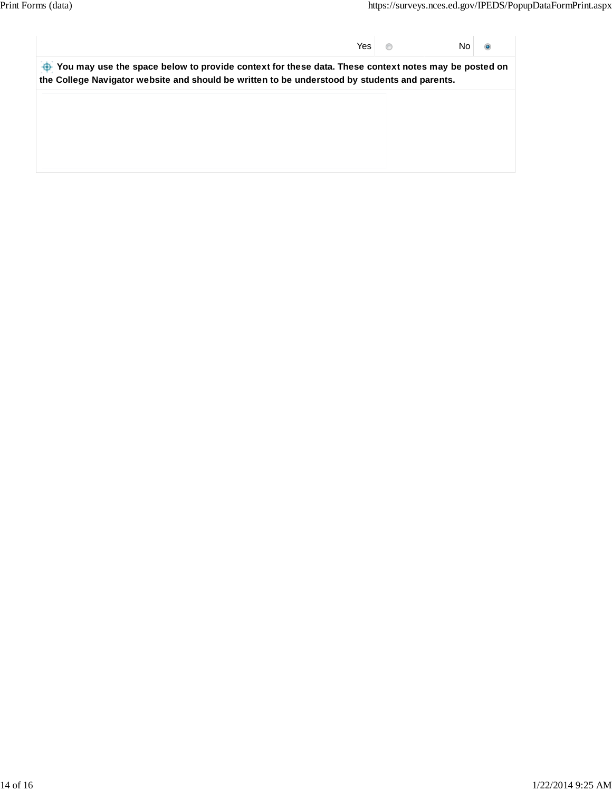Yes No  $\ddot{\mathbf{o}}$ 

 **You may use the space below to provide context for these data. These context notes may be posted on the College Navigator website and should be written to be understood by students and parents.**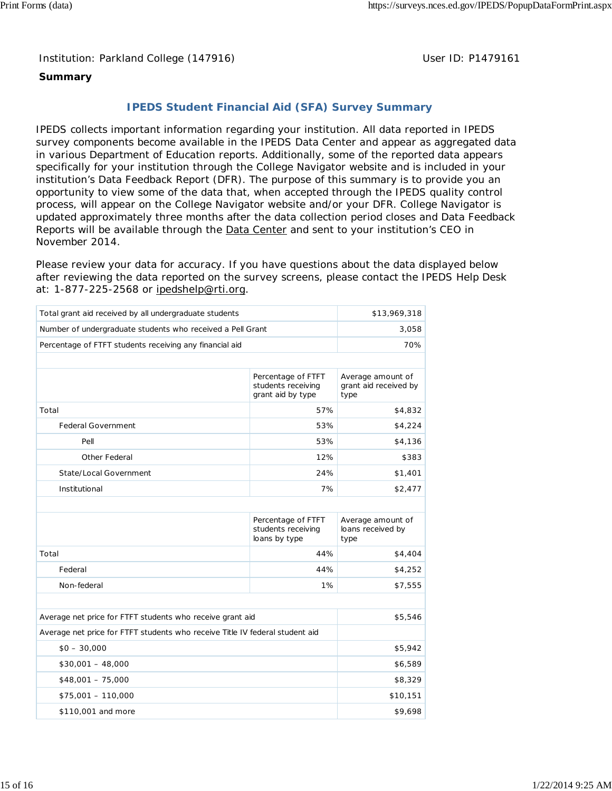Institution: Parkland College (147916) Noting the Muslim User ID: P1479161

# **Summary**

# **IPEDS Student Financial Aid (SFA) Survey Summary**

IPEDS collects important information regarding your institution. All data reported in IPEDS survey components become available in the IPEDS Data Center and appear as aggregated data in various Department of Education reports. Additionally, some of the reported data appears specifically for your institution through the College Navigator website and is included in your institution's Data Feedback Report (DFR). The purpose of this summary is to provide you an opportunity to view some of the data that, when accepted through the IPEDS quality control process, will appear on the College Navigator website and/or your DFR. College Navigator is updated approximately three months after the data collection period closes and Data Feedback Reports will be available through the **Data Center and sent to your institution's CEO** in November 2014.

Please review your data for accuracy. If you have questions about the data displayed below after reviewing the data reported on the survey screens, please contact the IPEDS Help Desk at: 1-877-225-2568 or ipedshelp@rti.org.

| Total grant aid received by all undergraduate students                       | \$13,969,318                                                  |                                                    |
|------------------------------------------------------------------------------|---------------------------------------------------------------|----------------------------------------------------|
| Number of undergraduate students who received a Pell Grant                   | 3,058                                                         |                                                    |
| Percentage of FTFT students receiving any financial aid                      | 70%                                                           |                                                    |
|                                                                              |                                                               |                                                    |
|                                                                              | Percentage of FTFT<br>students receiving<br>grant aid by type | Average amount of<br>grant aid received by<br>type |
| Total                                                                        | 57%                                                           | \$4,832                                            |
| Federal Government                                                           | 53%                                                           | \$4,224                                            |
| Pell                                                                         | 53%                                                           | \$4,136                                            |
| Other Federal                                                                | 12%                                                           | \$383                                              |
| State/Local Government                                                       | \$1,401                                                       |                                                    |
| Institutional                                                                | \$2,477                                                       |                                                    |
|                                                                              |                                                               |                                                    |
|                                                                              |                                                               |                                                    |
|                                                                              | Percentage of FTFT<br>students receiving<br>loans by type     | Average amount of<br>loans received by<br>type     |
| Total                                                                        | 44%                                                           | \$4,404                                            |
| Federal                                                                      | 44%                                                           | \$4,252                                            |
| Non-federal                                                                  | 1%                                                            | \$7,555                                            |
|                                                                              |                                                               |                                                    |
| Average net price for FTFT students who receive grant aid                    |                                                               | \$5,546                                            |
| Average net price for FTFT students who receive Title IV federal student aid |                                                               |                                                    |
| $$0 - 30,000$                                                                |                                                               | \$5,942                                            |
| $$30,001 - 48,000$                                                           |                                                               | \$6,589                                            |
| $$48,001 - 75,000$                                                           |                                                               | \$8,329                                            |
| $$75,001 - 110,000$                                                          |                                                               | \$10,151                                           |